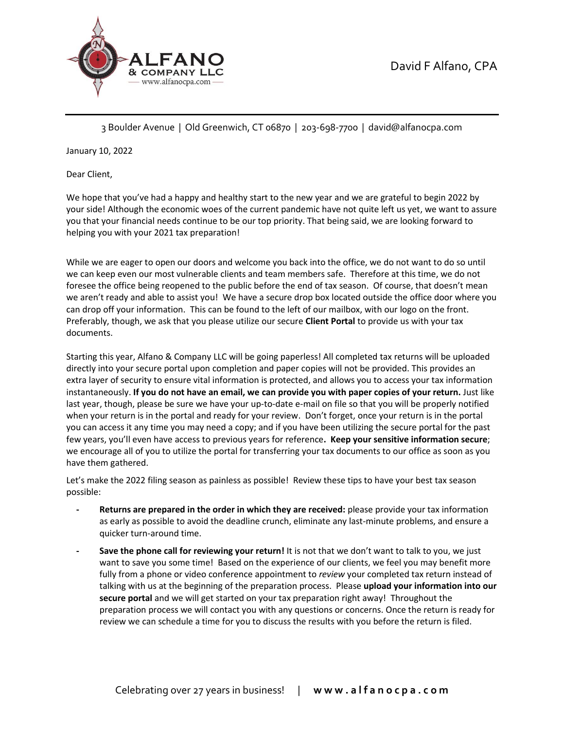



3 Boulder Avenue | Old Greenwich, CT 06870 | 203-698-7700 | david@alfanocpa.com

January 10, 2022

Dear Client,

We hope that you've had a happy and healthy start to the new year and we are grateful to begin 2022 by your side! Although the economic woes of the current pandemic have not quite left us yet, we want to assure you that your financial needs continue to be our top priority. That being said, we are looking forward to helping you with your 2021 tax preparation!

While we are eager to open our doors and welcome you back into the office, we do not want to do so until we can keep even our most vulnerable clients and team members safe. Therefore at this time, we do not foresee the office being reopened to the public before the end of tax season. Of course, that doesn't mean we aren't ready and able to assist you! We have a secure drop box located outside the office door where you can drop off your information. This can be found to the left of our mailbox, with our logo on the front. Preferably, though, we ask that you please utilize our secure **Client Portal** to provide us with your tax documents.

Starting this year, Alfano & Company LLC will be going paperless! All completed tax returns will be uploaded directly into your secure portal upon completion and paper copies will not be provided. This provides an extra layer of security to ensure vital information is protected, and allows you to access your tax information instantaneously. **If you do not have an email, we can provide you with paper copies of your return.** Just like last year, though, please be sure we have your up-to-date e-mail on file so that you will be properly notified when your return is in the portal and ready for your review. Don't forget, once your return is in the portal you can access it any time you may need a copy; and if you have been utilizing the secure portal for the past few years, you'll even have access to previous years for reference**. Keep your sensitive information secure**; we encourage all of you to utilize the portal for transferring your tax documents to our office as soon as you have them gathered.

Let's make the 2022 filing season as painless as possible! Review these tips to have your best tax season possible:

- **- Returns are prepared in the order in which they are received:** please provide your tax information as early as possible to avoid the deadline crunch, eliminate any last-minute problems, and ensure a quicker turn-around time.
- **- Save the phone call for reviewing your return!** It is not that we don't want to talk to you, we just want to save you some time! Based on the experience of our clients, we feel you may benefit more fully from a phone or video conference appointment to *review* your completed tax return instead of talking with us at the beginning of the preparation process. Please **upload your information into our secure portal** and we will get started on your tax preparation right away! Throughout the preparation process we will contact you with any questions or concerns. Once the return is ready for review we can schedule a time for you to discuss the results with you before the return is filed.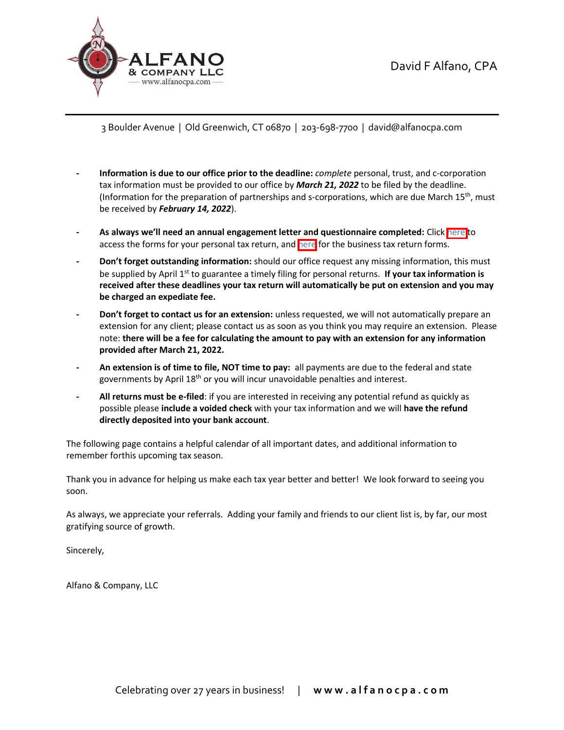

3 Boulder Avenue | Old Greenwich, CT 06870 | 203-698-7700 | david@alfanocpa.com

- **- Information is due to our office prior to the deadline:** *complete* personal, trust, and c-corporation tax information must be provided to our office by *March 21, 2022* to be filed by the deadline. (Information for the preparation of partnerships and s-corporations, which are due March 15<sup>th</sup>, must be received by *February 14, 2022*).
- As always we'll need an annual engagement letter and questionnaire completed: Click [here](https://alfanocpa.com/forms-for-individuals/) to access the forms for your personal tax return, and [here](https://alfanocpa.com/forms-for-businesses/) for the business tax return forms.
- **be charged an expediate fee. - Don't forget outstanding information:** should our office request any missing information, this must be supplied by April 1st to guarantee a timely filing for personal returns. **If your tax information is received after these deadlines your tax return will automatically be put on extension and you may**
- extension for any client; please contact us as soon as you think you may require an extension. Please **- Don't forget to contact us for an extension:** unless requested, we will not automatically prepare an note: **there will be a fee for calculating the amount to pay with an extension for any information provided after March 21, 2022.**
- **- An extension is of time to file, NOT time to pay:** all payments are due to the federal and state governments by April 18<sup>th</sup> or you will incur unavoidable penalties and interest.
- **- All returns must be e-filed**: if you are interested in receiving any potential refund as quickly as possible please **include a voided check** with your tax information and we will **have the refund directly deposited into your bank account**.

The following page contains a helpful calendar of all important dates, and additional information to remember forthis upcoming tax season.

Thank you in advance for helping us make each tax year better and better! We look forward to seeing you soon.

As always, we appreciate your referrals. Adding your family and friends to our client list is, by far, our most gratifying source of growth.

Sincerely,

Alfano & Company, LLC